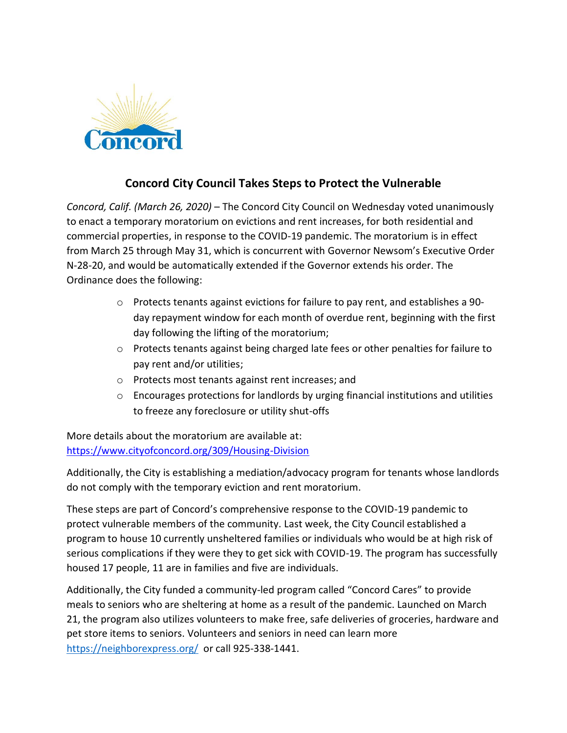

## **Concord City Council Takes Steps to Protect the Vulnerable**

*Concord, Calif. (March 26, 2020)* – The Concord City Council on Wednesday voted unanimously to enact a temporary moratorium on evictions and rent increases, for both residential and commercial properties, in response to the COVID-19 pandemic. The moratorium is in effect from March 25 through May 31, which is concurrent with Governor Newsom's Executive Order N-28-20, and would be automatically extended if the Governor extends his order. The Ordinance does the following:

- o Protects tenants against evictions for failure to pay rent, and establishes a 90 day repayment window for each month of overdue rent, beginning with the first day following the lifting of the moratorium;
- o Protects tenants against being charged late fees or other penalties for failure to pay rent and/or utilities;
- o Protects most tenants against rent increases; and
- $\circ$  Encourages protections for landlords by urging financial institutions and utilities to freeze any foreclosure or utility shut-offs

More details about the moratorium are available at: <https://www.cityofconcord.org/309/Housing-Division>

Additionally, the City is establishing a mediation/advocacy program for tenants whose landlords do not comply with the temporary eviction and rent moratorium.

These steps are part of Concord's comprehensive response to the COVID-19 pandemic to protect vulnerable members of the community. Last week, the City Council established a program to house 10 currently unsheltered families or individuals who would be at high risk of serious complications if they were they to get sick with COVID-19. The program has successfully housed 17 people, 11 are in families and five are individuals.

Additionally, the City funded a community-led program called "Concord Cares" to provide meals to seniors who are sheltering at home as a result of the pandemic. Launched on March 21, the program also utilizes volunteers to make free, safe deliveries of groceries, hardware and pet store items to seniors. Volunteers and seniors in need can learn more <https://neighborexpress.org/>or call 925-338-1441.